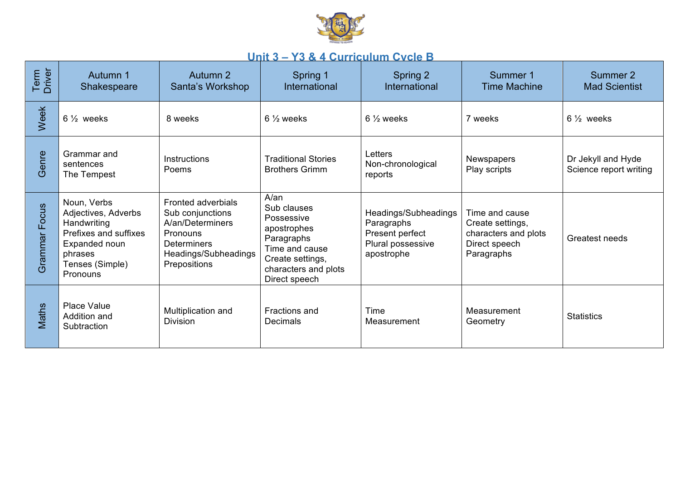

## **Unit 3 – Y3 & 4 Curriculum Cycle B**

| Term<br>Driver   | Autumn 1<br>Shakespeare                                                                                                               | Autumn 2<br>Santa's Workshop                                                                                                                | Spring 1<br>International                                                                                                                              | Spring 2<br>International                                                                | Summer 1<br><b>Time Machine</b>                                                           | Summer 2<br><b>Mad Scientist</b>             |
|------------------|---------------------------------------------------------------------------------------------------------------------------------------|---------------------------------------------------------------------------------------------------------------------------------------------|--------------------------------------------------------------------------------------------------------------------------------------------------------|------------------------------------------------------------------------------------------|-------------------------------------------------------------------------------------------|----------------------------------------------|
| Week             | $6\frac{1}{2}$ weeks                                                                                                                  | 8 weeks                                                                                                                                     | $6\frac{1}{2}$ weeks                                                                                                                                   | $6\frac{1}{2}$ weeks                                                                     | 7 weeks                                                                                   | $6\frac{1}{2}$ weeks                         |
| Genre            | Grammar and<br>sentences<br>The Tempest                                                                                               | Instructions<br>Poems                                                                                                                       | <b>Traditional Stories</b><br><b>Brothers Grimm</b>                                                                                                    | Letters<br>Non-chronological<br>reports                                                  | Newspapers<br>Play scripts                                                                | Dr Jekyll and Hyde<br>Science report writing |
| Focus<br>Grammar | Noun, Verbs<br>Adjectives, Adverbs<br>Handwriting<br>Prefixes and suffixes<br>Expanded noun<br>phrases<br>Tenses (Simple)<br>Pronouns | <b>Fronted adverbials</b><br>Sub conjunctions<br>A/an/Determiners<br>Pronouns<br><b>Determiners</b><br>Headings/Subheadings<br>Prepositions | $A/\text{an}$<br>Sub clauses<br>Possessive<br>apostrophes<br>Paragraphs<br>Time and cause<br>Create settings,<br>characters and plots<br>Direct speech | Headings/Subheadings<br>Paragraphs<br>Present perfect<br>Plural possessive<br>apostrophe | Time and cause<br>Create settings,<br>characters and plots<br>Direct speech<br>Paragraphs | Greatest needs                               |
| Maths            | Place Value<br>Addition and<br>Subtraction                                                                                            | Multiplication and<br><b>Division</b>                                                                                                       | Fractions and<br><b>Decimals</b>                                                                                                                       | Time<br>Measurement                                                                      | Measurement<br>Geometry                                                                   | <b>Statistics</b>                            |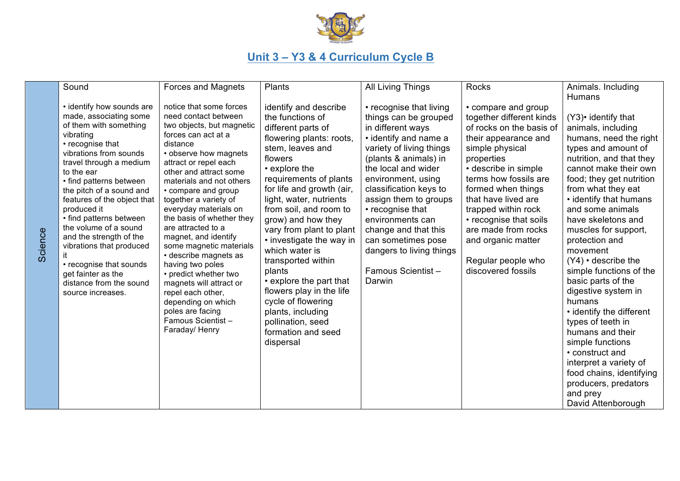

## **Unit 3 – Y3 & 4 Curriculum Cycle B**

| Sound<br>Forces and Magnets<br>All Living Things<br>Rocks<br>Plants<br>• identify how sounds are<br>notice that some forces<br>identify and describe<br>• recognise that living<br>• compare and group<br>made, associating some<br>need contact between<br>the functions of<br>things can be grouped<br>together different kinds<br>of them with something<br>two objects, but magnetic<br>of rocks on the basis of<br>different parts of<br>in different ways<br>vibrating<br>forces can act at a<br>• identify and name a<br>flowering plants: roots,<br>their appearance and<br>• recognise that<br>distance                                                                                                                                                                                                                                                                                                                                                                                                                                                                                                                                                                                                                                                                                                                                                                                                                                                                                                                                                                                                                                                                                                                                                                                                                                                                                                                    | Animals. Including<br><b>Humans</b><br>(Y3) • identify that<br>animals, including                                                                                                                                                                                                                                                                                                                                                                                                                                                                                                                                     |
|-------------------------------------------------------------------------------------------------------------------------------------------------------------------------------------------------------------------------------------------------------------------------------------------------------------------------------------------------------------------------------------------------------------------------------------------------------------------------------------------------------------------------------------------------------------------------------------------------------------------------------------------------------------------------------------------------------------------------------------------------------------------------------------------------------------------------------------------------------------------------------------------------------------------------------------------------------------------------------------------------------------------------------------------------------------------------------------------------------------------------------------------------------------------------------------------------------------------------------------------------------------------------------------------------------------------------------------------------------------------------------------------------------------------------------------------------------------------------------------------------------------------------------------------------------------------------------------------------------------------------------------------------------------------------------------------------------------------------------------------------------------------------------------------------------------------------------------------------------------------------------------------------------------------------------------|-----------------------------------------------------------------------------------------------------------------------------------------------------------------------------------------------------------------------------------------------------------------------------------------------------------------------------------------------------------------------------------------------------------------------------------------------------------------------------------------------------------------------------------------------------------------------------------------------------------------------|
|                                                                                                                                                                                                                                                                                                                                                                                                                                                                                                                                                                                                                                                                                                                                                                                                                                                                                                                                                                                                                                                                                                                                                                                                                                                                                                                                                                                                                                                                                                                                                                                                                                                                                                                                                                                                                                                                                                                                     |                                                                                                                                                                                                                                                                                                                                                                                                                                                                                                                                                                                                                       |
| variety of living things<br>stem, leaves and<br>simple physical<br>vibrations from sounds<br>• observe how magnets<br>(plants & animals) in<br>flowers<br>properties<br>travel through a medium<br>attract or repel each<br>• explore the<br>the local and wider<br>• describe in simple<br>to the ear<br>other and attract some<br>requirements of plants<br>terms how fossils are<br>environment, using<br>• find patterns between<br>materials and not others<br>for life and growth (air,<br>classification keys to<br>formed when things<br>the pitch of a sound and<br>• compare and group<br>that have lived are<br>light, water, nutrients<br>assign them to groups<br>features of the object that<br>together a variety of<br>produced it<br>everyday materials on<br>from soil, and room to<br>• recognise that<br>trapped within rock<br>• find patterns between<br>the basis of whether they<br>grow) and how they<br>environments can<br>• recognise that soils<br>the volume of a sound<br>are attracted to a<br>are made from rocks<br>vary from plant to plant<br>change and that this<br>cience<br>and the strength of the<br>magnet, and identify<br>• investigate the way in<br>can sometimes pose<br>and organic matter<br>vibrations that produced<br>some magnetic materials<br>which water is<br>dangers to living things<br>• describe magnets as<br>ທັ<br>Regular people who<br>transported within<br>• recognise that sounds<br>having two poles<br>Famous Scientist-<br>discovered fossils<br>plants<br>get fainter as the<br>• predict whether two<br>• explore the part that<br>Darwin<br>distance from the sound<br>magnets will attract or<br>flowers play in the life<br>repel each other,<br>source increases.<br>cycle of flowering<br>depending on which<br>poles are facing<br>plants, including<br>Famous Scientist-<br>pollination, seed<br>Faraday/ Henry<br>formation and seed<br>dispersal | humans, need the right<br>types and amount of<br>nutrition, and that they<br>cannot make their own<br>food; they get nutrition<br>from what they eat<br>• identify that humans<br>and some animals<br>have skeletons and<br>muscles for support,<br>protection and<br>movement<br>$(Y4)$ • describe the<br>simple functions of the<br>basic parts of the<br>digestive system in<br>humans<br>• identify the different<br>types of teeth in<br>humans and their<br>simple functions<br>• construct and<br>interpret a variety of<br>food chains, identifying<br>producers, predators<br>and prey<br>David Attenborough |